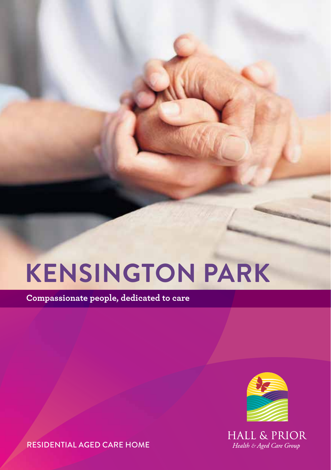# **Kensington Park**

**Compassionate people, dedicated to care**



**HALL & PRIOR** Health & Aged Care Group

Residential Aged Care Home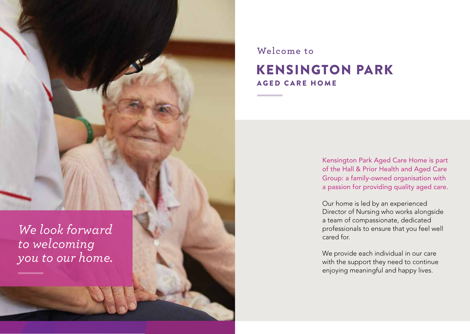*We look forward to welcoming you to our home.*

**COOCCOOCCOOC** 

### AGED CARE HOME **Welcome to** Kensington Park

-000000000000

Kensington Park Aged Care Home is part of the Hall & Prior Health and Aged Care Group: a family-owned organisation with a passion for providing quality aged care.

Our home is led by an experienced Director of Nursing who works alongside a team of compassionate, dedicated professionals to ensure that you feel well cared for.

We provide each individual in our care with the support they need to continue enjoying meaningful and happy lives.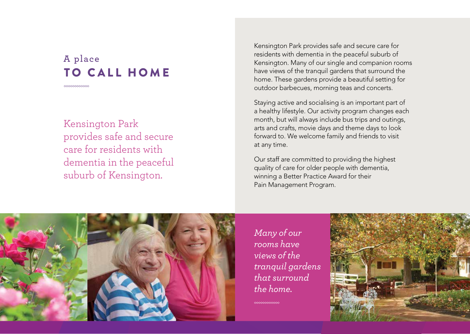### TO CALL HOME **A place**

ೲೲೲೲೲೲ

Kensington Park provides safe and secure care for residents with dementia in the peaceful suburb of Kensington.

Kensington Park provides safe and secure care for residents with dementia in the peaceful suburb of Kensington. Many of our single and companion rooms have views of the tranquil gardens that surround the home. These gardens provide a beautiful setting for outdoor barbecues, morning teas and concerts.

Staying active and socialising is an important part of a healthy lifestyle. Our activity program changes each month, but will always include bus trips and outings, arts and crafts, movie days and theme days to look forward to. We welcome family and friends to visit at any time.

Our staff are committed to providing the highest quality of care for older people with dementia, winning a Better Practice Award for their Pain Management Program.



*Many of our rooms have views of the tranquil gardens that surround the home.*

mmmm

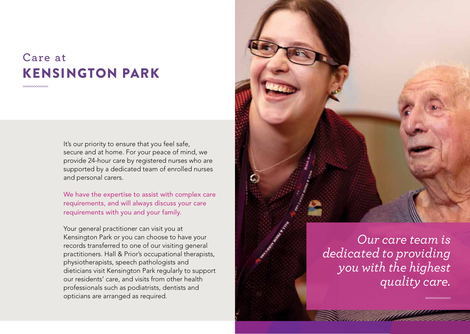### Kensington Park **Care at**

**ANNANOMANO** 

It's our priority to ensure that you feel safe, secure and at home. For your peace of mind, we provide 24-hour care by registered nurses who are supported by a dedicated team of enrolled nurses and personal carers.

We have the expertise to assist with complex care requirements, and will always discuss your care requirements with you and your family.

Your general practitioner can visit you at Kensington Park or you can choose to have your records transferred to one of our visiting general practitioners. Hall & Prior's occupational therapists, physiotherapists, speech pathologists and dieticians visit Kensington Park regularly to support our residents' care, and visits from other health professionals such as podiatrists, dentists and opticians are arranged as required.



*Our care team is dedicated to providing you with the highest quality care.*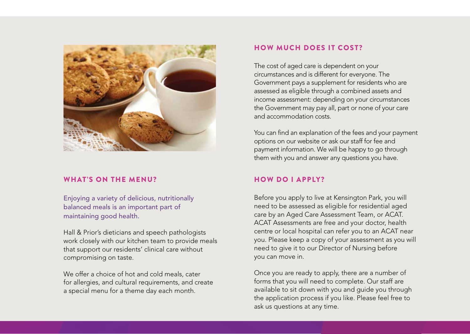

#### WHAT'S ON THE MENU?

Enjoying a variety of delicious, nutritionally balanced meals is an important part of maintaining good health.

Hall & Prior's dieticians and speech pathologists work closely with our kitchen team to provide meals that support our residents' clinical care without compromising on taste.

We offer a choice of hot and cold meals, cater for allergies, and cultural requirements, and create a special menu for a theme day each month.

#### How much does it cost?

The cost of aged care is dependent on your circumstances and is different for everyone. The Government pays a supplement for residents who are assessed as eligible through a combined assets and income assessment: depending on your circumstances the Government may pay all, part or none of your care and accommodation costs.

You can find an explanation of the fees and your payment options on our website or ask our staff for fee and payment information. We will be happy to go through them with you and answer any questions you have.

#### How do I apply?

Before you apply to live at Kensington Park, you will need to be assessed as eligible for residential aged care by an Aged Care Assessment Team, or ACAT. ACAT Assessments are free and your doctor, health centre or local hospital can refer you to an ACAT near you. Please keep a copy of your assessment as you will need to give it to our Director of Nursing before you can move in.

Once you are ready to apply, there are a number of forms that you will need to complete. Our staff are available to sit down with you and guide you through the application process if you like. Please feel free to ask us questions at any time.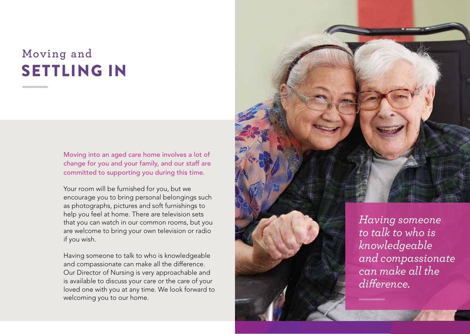## settling in **Moving and**

Moving into an aged care home involves a lot of change for you and your family, and our staff are committed to supporting you during this time.

Your room will be furnished for you, but we encourage you to bring personal belongings such as photographs, pictures and soft furnishings to help you feel at home. There are television sets that you can watch in our common rooms, but you are welcome to bring your own television or radio if you wish.

Having someone to talk to who is knowledgeable and compassionate can make all the difference. Our Director of Nursing is very approachable and is available to discuss your care or the care of your loved one with you at any time. We look forward to welcoming you to our home.



*to talk to who is knowledgeable and compassionate can make all the difference.*

∞∞∞∞∞∞∞∞∞∞